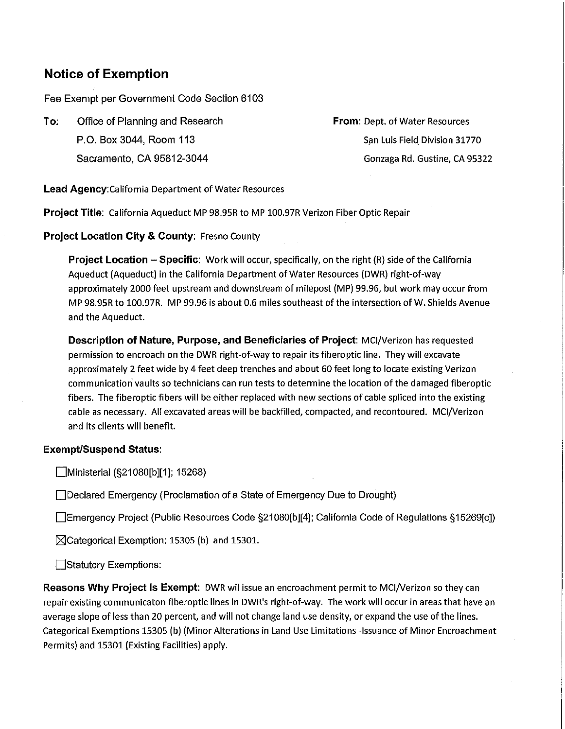## **Notice of Exemption**

Fee Exempt per Government Code Section 6103

**To:** Office of Planning and Research P.O. Box 3044, Room 113 Sacramento, CA 95812-3044

**From:** Dept. of Water Resources San Luis Field Division 31770 Gonzaga Rd. Gustine, CA 95322

**Lead Agency:California** Department of Water Resources

**Project Title:** California Aqueduct MP 98.95R to MP 100.97R Verizon Fiber Optic Repair

**Project Location City & County:** Fresno County

**Project Location - Specific:** Work will occur, specifically, on the right (R) side of the California Aqueduct (Aqueduct) in the California Department of Water Resources (DWR) right-of-way approximately 2000 feet upstream and downstream of milepost (MP) 99.96, but work may occur from MP 98.9SR to 100.97R. MP 99.96 is about 0.6 miles southeast of the intersection of W. Shields Avenue and the Aqueduct.

**Description of Nature, Purpose, and Beneficiaries of Project:** MCI/Verizon has requested permission to encroach on the DWR right-of-way to repair its fiberoptic line. They will excavate approximately 2 feet wide by 4 feet deep trenches and about 60 feet long to locate existing Verizon communication vaults so technicians can run tests to determine the location of the damaged fiberoptic fibers. The fiberoptic fibers will be either replaced with new sections of cable spliced into the existing cable as necessary. All excavated areas will be backfilled, compacted, and recontoured. MCI/Verizon and its clients will benefit.

## **Exempt/Suspend Status:**

Ministerial (§21080[b][1]; 15268)

□Declared Emergency (Proclamation of a State of Emergency Due to Drought)

Emergency Project (Public Resources Code §21080[b][4]; California Code of Regulations §15269[c])

 $\boxtimes$ Categorical Exemption: 15305 (b) and 15301.

Statutory Exemptions:

**Reasons Why Project Is Exempt:** DWR wil issue an encroachment permit to MCI/Verizon so they can repair existing communicaton fiberoptic lines in DWR's right-of-way. The work will occur in areas that have an average slope of less than 20 percent, and will not change land use density, or expand the use of the lines. Categorical Exemptions 15305 (b) (Minor Alterations in Land Use Limitations -Issuance of Minor Encroachment Permits) and 15301 (Existing Facilities) apply.